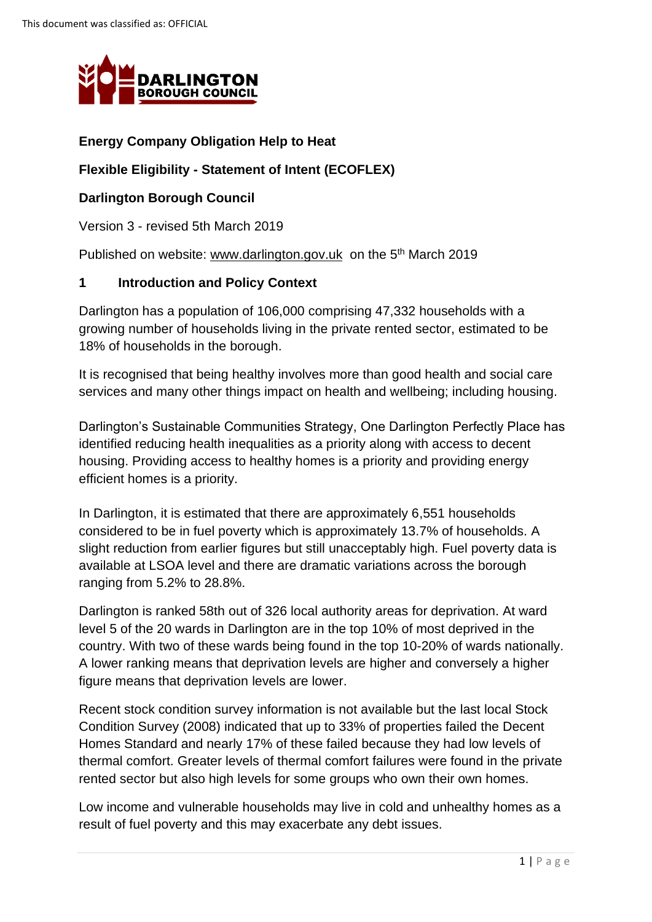

## **Energy Company Obligation Help to Heat**

### **Flexible Eligibility - Statement of Intent (ECOFLEX)**

### **Darlington Borough Council**

Version 3 - revised 5th March 2019

Published on website: [www.darlington.gov.uk](http://www.darlington.gov.uk/) on the 5<sup>th</sup> March 2019

### **1 Introduction and Policy Context**

Darlington has a population of 106,000 comprising 47,332 households with a growing number of households living in the private rented sector, estimated to be 18% of households in the borough.

It is recognised that being healthy involves more than good health and social care services and many other things impact on health and wellbeing; including housing.

 housing. Providing access to healthy homes is a priority and providing energy efficient homes is a priority. Darlington's Sustainable Communities Strategy, One Darlington Perfectly Place has identified reducing health inequalities as a priority along with access to decent

 available at LSOA level and there are dramatic variations across the borough In Darlington, it is estimated that there are approximately 6,551 households considered to be in fuel poverty which is approximately 13.7% of households. A slight reduction from earlier figures but still unacceptably high. Fuel poverty data is ranging from 5.2% to 28.8%.

 level 5 of the 20 wards in Darlington are in the top 10% of most deprived in the figure means that deprivation levels are lower. Darlington is ranked 58th out of 326 local authority areas for deprivation. At ward country. With two of these wards being found in the top 10-20% of wards nationally. A lower ranking means that deprivation levels are higher and conversely a higher

 thermal comfort. Greater levels of thermal comfort failures were found in the private Recent stock condition survey information is not available but the last local Stock Condition Survey (2008) indicated that up to 33% of properties failed the Decent Homes Standard and nearly 17% of these failed because they had low levels of rented sector but also high levels for some groups who own their own homes.

Low income and vulnerable households may live in cold and unhealthy homes as a result of fuel poverty and this may exacerbate any debt issues.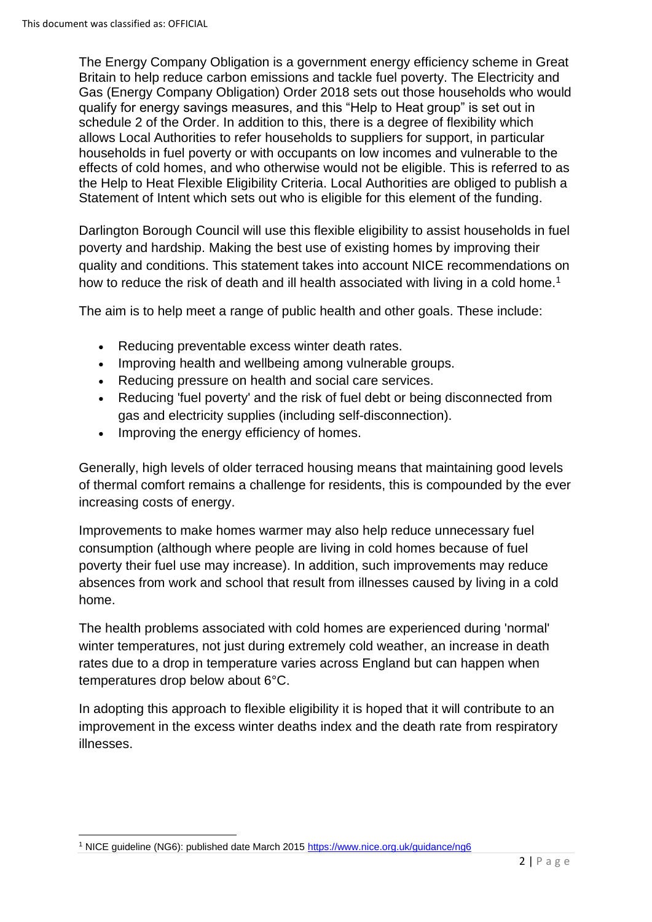schedule 2 of the Order. In addition to this, there is a degree of flexibility which the Help to Heat Flexible Eligibility Criteria. Local Authorities are obliged to publish a The Energy Company Obligation is a government energy efficiency scheme in Great Britain to help reduce carbon emissions and tackle fuel poverty. The Electricity and Gas (Energy Company Obligation) Order 2018 sets out those households who would qualify for energy savings measures, and this "Help to Heat group" is set out in allows Local Authorities to refer households to suppliers for support, in particular households in fuel poverty or with occupants on low incomes and vulnerable to the effects of cold homes, and who otherwise would not be eligible. This is referred to as Statement of Intent which sets out who is eligible for this element of the funding.

 poverty and hardship. Making the best use of existing homes by improving their Darlington Borough Council will use this flexible eligibility to assist households in fuel quality and conditions. This statement takes into account NICE recommendations on how to reduce the risk of death and ill health associated with living in a cold home.<sup>1</sup>

The aim is to help meet a range of public health and other goals. These include:

- Reducing preventable excess winter death rates.
- Improving health and wellbeing among vulnerable groups.
- Reducing pressure on health and social care services.
- Reducing 'fuel poverty' and the risk of fuel debt or being disconnected from gas and electricity supplies (including self-disconnection).
- Improving the energy efficiency of homes.

increasing costs of energy. Generally, high levels of older terraced housing means that maintaining good levels of thermal comfort remains a challenge for residents, this is compounded by the ever

Improvements to make homes warmer may also help reduce unnecessary fuel consumption (although where people are living in cold homes because of fuel poverty their fuel use may increase). In addition, such improvements may reduce absences from work and school that result from illnesses caused by living in a cold home.

The health problems associated with cold homes are experienced during 'normal' winter temperatures, not just during extremely cold weather, an increase in death rates due to a drop in temperature varies across England but can happen when temperatures drop below about 6°C.

 In adopting this approach to flexible eligibility it is hoped that it will contribute to an improvement in the excess winter deaths index and the death rate from respiratory illnesses.

<sup>1</sup> NICE guideline (NG6): published date March 2015<https://www.nice.org.uk/guidance/ng6>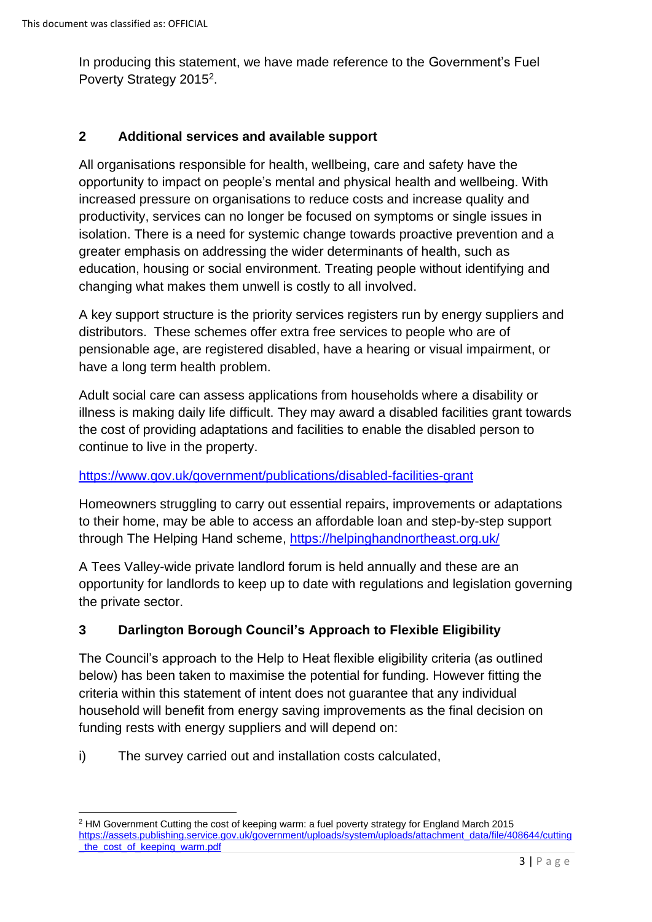In producing this statement, we have made reference to the Government's Fuel Poverty Strategy 2015<sup>2</sup>.

### **2 Additional services and available support**

 isolation. There is a need for systemic change towards proactive prevention and a All organisations responsible for health, wellbeing, care and safety have the opportunity to impact on people's mental and physical health and wellbeing. With increased pressure on organisations to reduce costs and increase quality and productivity, services can no longer be focused on symptoms or single issues in greater emphasis on addressing the wider determinants of health, such as education, housing or social environment. Treating people without identifying and changing what makes them unwell is costly to all involved.

 distributors. These schemes offer extra free services to people who are of have a long term health problem. A key support structure is the priority services registers run by energy suppliers and pensionable age, are registered disabled, have a hearing or visual impairment, or

Adult social care can assess applications from households where a disability or illness is making daily life difficult. They may award a disabled facilities grant towards the cost of providing adaptations and facilities to enable the disabled person to continue to live in the property.

### <https://www.gov.uk/government/publications/disabled-facilities-grant>

Homeowners struggling to carry out essential repairs, improvements or adaptations to their home, may be able to access an affordable loan and step-by-step support through The Helping Hand scheme,<https://helpinghandnortheast.org.uk/>

 opportunity for landlords to keep up to date with regulations and legislation governing A Tees Valley-wide private landlord forum is held annually and these are an the private sector.

## **3 Darlington Borough Council's Approach to Flexible Eligibility**

 below) has been taken to maximise the potential for funding. However fitting the household will benefit from energy saving improvements as the final decision on The Council's approach to the Help to Heat flexible eligibility criteria (as outlined criteria within this statement of intent does not guarantee that any individual funding rests with energy suppliers and will depend on:

i) The survey carried out and installation costs calculated,

<sup>2</sup> HM Government Cutting the cost of keeping warm: a fuel poverty strategy for England March 2015 [https://assets.publishing.service.gov.uk/government/uploads/system/uploads/attachment\\_data/file/408644/cutting](https://assets.publishing.service.gov.uk/government/uploads/system/uploads/attachment_data/file/408644/cutting_the_cost_of_keeping_warm.pdf)  [\\_the\\_cost\\_of\\_keeping\\_warm.pdf](https://assets.publishing.service.gov.uk/government/uploads/system/uploads/attachment_data/file/408644/cutting_the_cost_of_keeping_warm.pdf)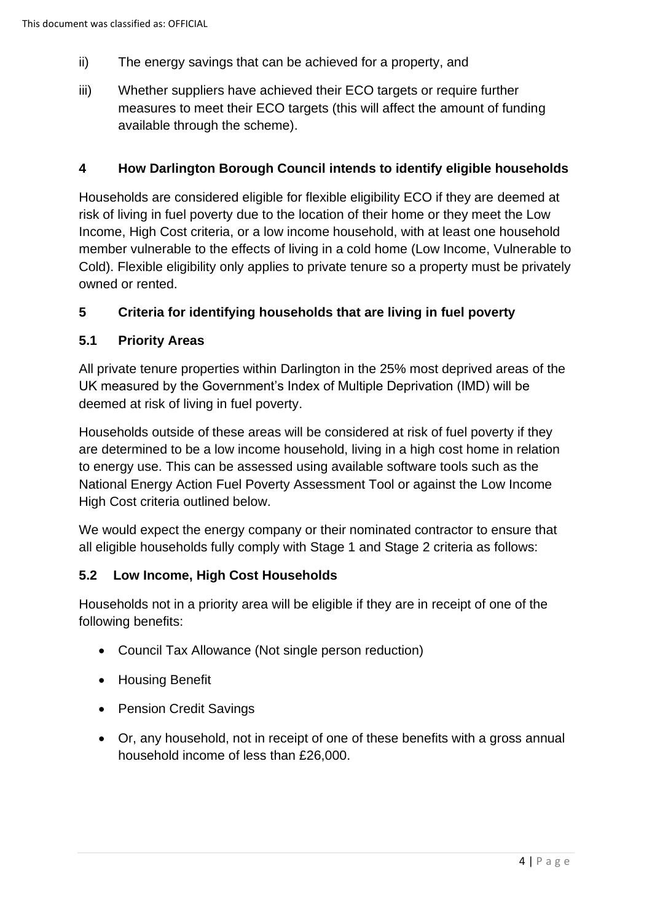- ii) The energy savings that can be achieved for a property, and
- iii) Whether suppliers have achieved their ECO targets or require further measures to meet their ECO targets (this will affect the amount of funding available through the scheme).

### **4 How Darlington Borough Council intends to identify eligible households**

 Income, High Cost criteria, or a low income household, with at least one household Households are considered eligible for flexible eligibility ECO if they are deemed at risk of living in fuel poverty due to the location of their home or they meet the Low member vulnerable to the effects of living in a cold home (Low Income, Vulnerable to Cold). Flexible eligibility only applies to private tenure so a property must be privately owned or rented.

## **5 Criteria for identifying households that are living in fuel poverty**

### **5.1 Priority Areas**

All private tenure properties within Darlington in the 25% most deprived areas of the UK measured by the Government's Index of Multiple Deprivation (IMD) will be deemed at risk of living in fuel poverty.

 are determined to be a low income household, living in a high cost home in relation to energy use. This can be assessed using available software tools such as the Households outside of these areas will be considered at risk of fuel poverty if they National Energy Action Fuel Poverty Assessment Tool or against the Low Income High Cost criteria outlined below.

We would expect the energy company or their nominated contractor to ensure that all eligible households fully comply with Stage 1 and Stage 2 criteria as follows:

#### **5.2 Low Income, High Cost Households**

 Households not in a priority area will be eligible if they are in receipt of one of the following benefits:

- Council Tax Allowance (Not single person reduction)
- Housing Benefit
- Pension Credit Savings
- Or, any household, not in receipt of one of these benefits with a gross annual household income of less than £26,000.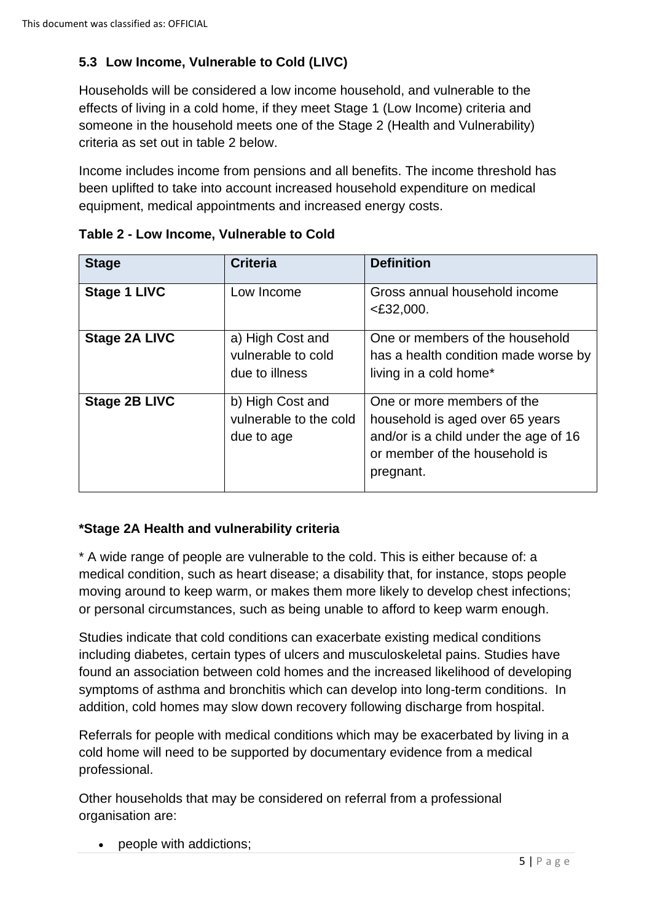# **5.3 Low Income, Vulnerable to Cold (LIVC)**

 someone in the household meets one of the Stage 2 (Health and Vulnerability) Households will be considered a low income household, and vulnerable to the effects of living in a cold home, if they meet Stage 1 (Low Income) criteria and criteria as set out in table 2 below.

Income includes income from pensions and all benefits. The income threshold has been uplifted to take into account increased household expenditure on medical equipment, medical appointments and increased energy costs.

| <b>Stage</b>         | <b>Criteria</b>                                          | <b>Definition</b>                                                                                                                                    |
|----------------------|----------------------------------------------------------|------------------------------------------------------------------------------------------------------------------------------------------------------|
| <b>Stage 1 LIVC</b>  | Low Income                                               | Gross annual household income<br>$<$ £32,000.                                                                                                        |
| <b>Stage 2A LIVC</b> | a) High Cost and<br>vulnerable to cold<br>due to illness | One or members of the household<br>has a health condition made worse by<br>living in a cold home*                                                    |
| <b>Stage 2B LIVC</b> | b) High Cost and<br>vulnerable to the cold<br>due to age | One or more members of the<br>household is aged over 65 years<br>and/or is a child under the age of 16<br>or member of the household is<br>pregnant. |

**Table 2 - Low Income, Vulnerable to Cold** 

## **\*Stage 2A Health and vulnerability criteria**

 \* A wide range of people are vulnerable to the cold. This is either because of: a medical condition, such as heart disease; a disability that, for instance, stops people moving around to keep warm, or makes them more likely to develop chest infections; or personal circumstances, such as being unable to afford to keep warm enough.

Studies indicate that cold conditions can exacerbate existing medical conditions including diabetes, certain types of ulcers and musculoskeletal pains. Studies have found an association between cold homes and the increased likelihood of developing symptoms of asthma and bronchitis which can develop into long-term conditions. In addition, cold homes may slow down recovery following discharge from hospital.

Referrals for people with medical conditions which may be exacerbated by living in a cold home will need to be supported by documentary evidence from a medical professional.

 Other households that may be considered on referral from a professional organisation are:

• people with addictions;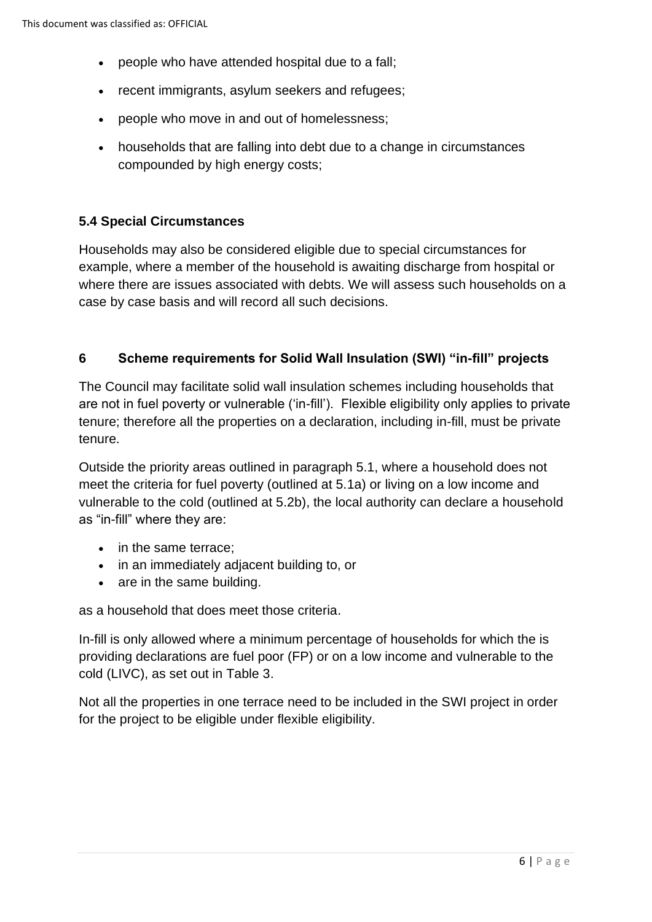- people who have attended hospital due to a fall;
- recent immigrants, asylum seekers and refugees;
- people who move in and out of homelessness;
- • households that are falling into debt due to a change in circumstances compounded by high energy costs;

### **5.4 Special Circumstances**

 Households may also be considered eligible due to special circumstances for where there are issues associated with debts. We will assess such households on a example, where a member of the household is awaiting discharge from hospital or case by case basis and will record all such decisions.

### **6 Scheme requirements for Solid Wall Insulation (SWI) "in-fill" projects**

 tenure; therefore all the properties on a declaration, including in-fill, must be private The Council may facilitate solid wall insulation schemes including households that are not in fuel poverty or vulnerable ('in-fill'). Flexible eligibility only applies to private tenure.

Outside the priority areas outlined in paragraph 5.1, where a household does not meet the criteria for fuel poverty (outlined at 5.1a) or living on a low income and vulnerable to the cold (outlined at 5.2b), the local authority can declare a household as "in-fill" where they are:

- in the same terrace:
- in an immediately adjacent building to, or
- are in the same building.

as a household that does meet those criteria.

 providing declarations are fuel poor (FP) or on a low income and vulnerable to the In-fill is only allowed where a minimum percentage of households for which the is cold (LIVC), as set out in Table 3.

Not all the properties in one terrace need to be included in the SWI project in order for the project to be eligible under flexible eligibility.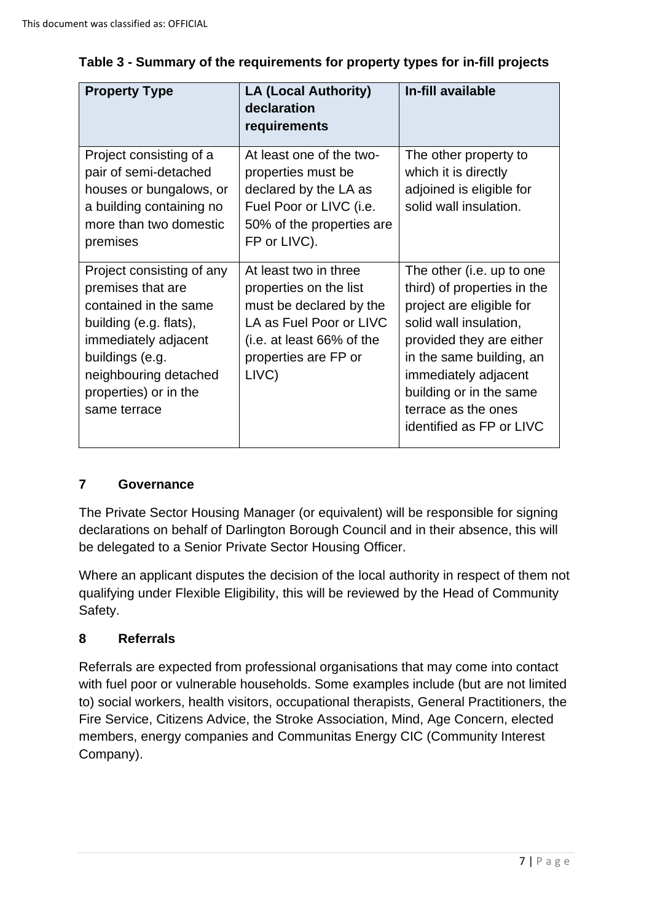| <b>Property Type</b>                                                                                                                                                                                           | <b>LA (Local Authority)</b><br>declaration<br>requirements                                                                                                          | In-fill available                                                                                                                                                                                                                                                            |
|----------------------------------------------------------------------------------------------------------------------------------------------------------------------------------------------------------------|---------------------------------------------------------------------------------------------------------------------------------------------------------------------|------------------------------------------------------------------------------------------------------------------------------------------------------------------------------------------------------------------------------------------------------------------------------|
| Project consisting of a<br>pair of semi-detached<br>houses or bungalows, or<br>a building containing no<br>more than two domestic<br>premises                                                                  | At least one of the two-<br>properties must be<br>declared by the LA as<br>Fuel Poor or LIVC (i.e.<br>50% of the properties are<br>FP or LIVC).                     | The other property to<br>which it is directly<br>adjoined is eligible for<br>solid wall insulation.                                                                                                                                                                          |
| Project consisting of any<br>premises that are<br>contained in the same<br>building (e.g. flats),<br>immediately adjacent<br>buildings (e.g.<br>neighbouring detached<br>properties) or in the<br>same terrace | At least two in three<br>properties on the list<br>must be declared by the<br>LA as Fuel Poor or LIVC<br>(i.e. at least 66% of the<br>properties are FP or<br>LIVC) | The other (i.e. up to one<br>third) of properties in the<br>project are eligible for<br>solid wall insulation,<br>provided they are either<br>in the same building, an<br>immediately adjacent<br>building or in the same<br>terrace as the ones<br>identified as FP or LIVC |

## **Table 3 - Summary of the requirements for property types for in-fill projects**

# **7 Governance**

The Private Sector Housing Manager (or equivalent) will be responsible for signing declarations on behalf of Darlington Borough Council and in their absence, this will be delegated to a Senior Private Sector Housing Officer.

Where an applicant disputes the decision of the local authority in respect of them not qualifying under Flexible Eligibility, this will be reviewed by the Head of Community Safety.

## **8 Referrals**

Referrals are expected from professional organisations that may come into contact with fuel poor or vulnerable households. Some examples include (but are not limited to) social workers, health visitors, occupational therapists, General Practitioners, the Fire Service, Citizens Advice, the Stroke Association, Mind, Age Concern, elected members, energy companies and Communitas Energy CIC (Community Interest Company).